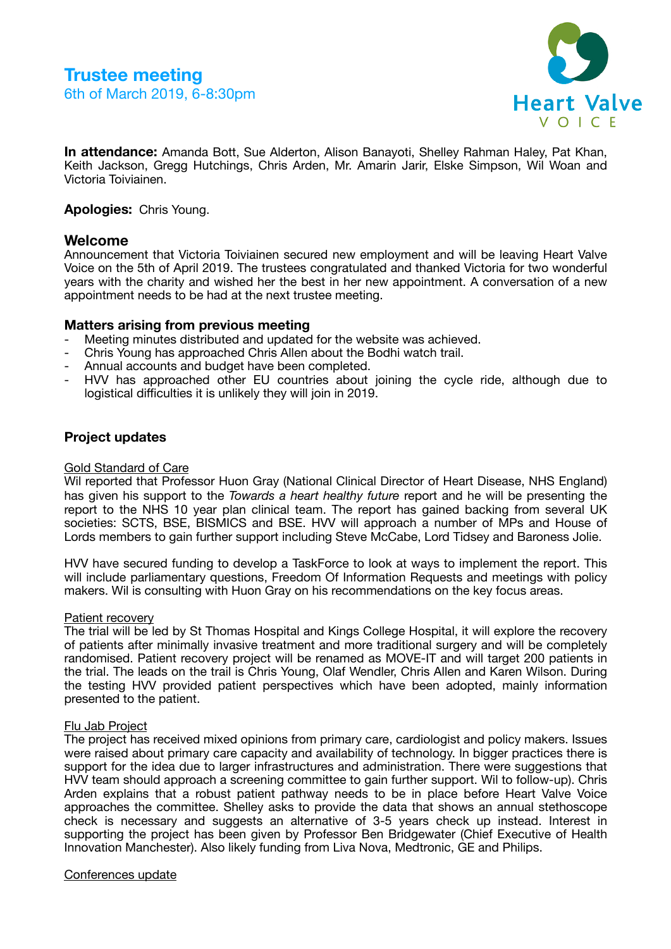

**In attendance:** Amanda Bott, Sue Alderton, Alison Banayoti, Shelley Rahman Haley, Pat Khan, Keith Jackson, Gregg Hutchings, Chris Arden, Mr. Amarin Jarir, Elske Simpson, Wil Woan and Victoria Toiviainen.

**Apologies:** Chris Young.

# **Welcome**

Announcement that Victoria Toiviainen secured new employment and will be leaving Heart Valve Voice on the 5th of April 2019. The trustees congratulated and thanked Victoria for two wonderful years with the charity and wished her the best in her new appointment. A conversation of a new appointment needs to be had at the next trustee meeting.

# **Matters arising from previous meeting**

- Meeting minutes distributed and updated for the website was achieved.
- Chris Young has approached Chris Allen about the Bodhi watch trail.
- Annual accounts and budget have been completed.
- HVV has approached other EU countries about joining the cycle ride, although due to logistical difficulties it is unlikely they will join in 2019.

# **Project updates**

# Gold Standard of Care

Wil reported that Professor Huon Gray (National Clinical Director of Heart Disease, NHS England) has given his support to the *Towards a heart healthy future* report and he will be presenting the report to the NHS 10 year plan clinical team. The report has gained backing from several UK societies: SCTS, BSE, BISMICS and BSE. HVV will approach a number of MPs and House of Lords members to gain further support including Steve McCabe, Lord Tidsey and Baroness Jolie.

HVV have secured funding to develop a TaskForce to look at ways to implement the report. This will include parliamentary questions, Freedom Of Information Requests and meetings with policy makers. Wil is consulting with Huon Gray on his recommendations on the key focus areas.

## Patient recovery

The trial will be led by St Thomas Hospital and Kings College Hospital, it will explore the recovery of patients after minimally invasive treatment and more traditional surgery and will be completely randomised. Patient recovery project will be renamed as MOVE-IT and will target 200 patients in the trial. The leads on the trail is Chris Young, Olaf Wendler, Chris Allen and Karen Wilson. During the testing HVV provided patient perspectives which have been adopted, mainly information presented to the patient.

## Flu Jab Project

The project has received mixed opinions from primary care, cardiologist and policy makers. Issues were raised about primary care capacity and availability of technology. In bigger practices there is support for the idea due to larger infrastructures and administration. There were suggestions that HVV team should approach a screening committee to gain further support. Wil to follow-up). Chris Arden explains that a robust patient pathway needs to be in place before Heart Valve Voice approaches the committee. Shelley asks to provide the data that shows an annual stethoscope check is necessary and suggests an alternative of 3-5 years check up instead. Interest in supporting the project has been given by Professor Ben Bridgewater (Chief Executive of Health Innovation Manchester). Also likely funding from Liva Nova, Medtronic, GE and Philips.

## Conferences update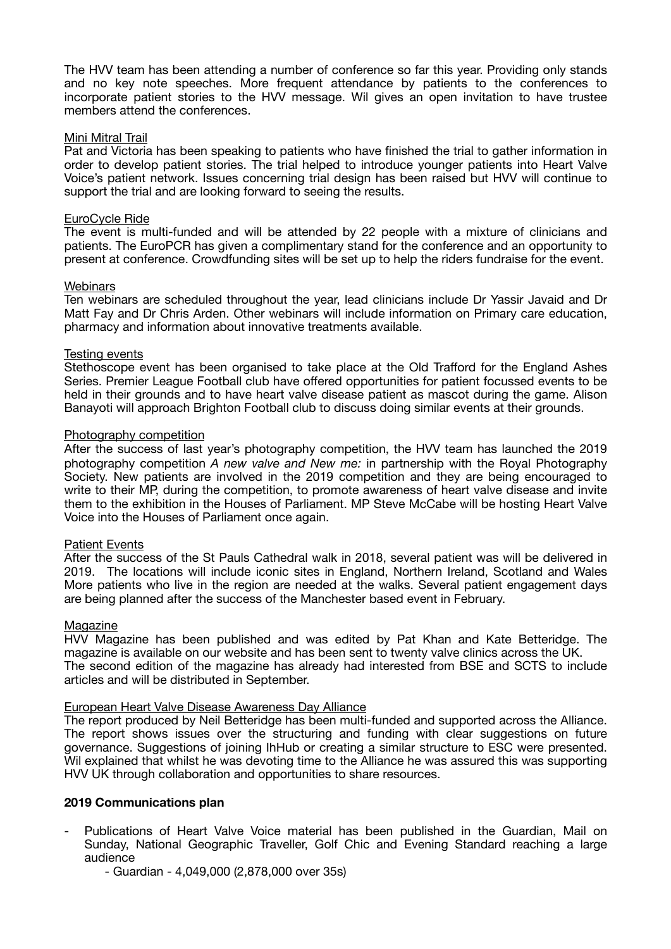The HVV team has been attending a number of conference so far this year. Providing only stands and no key note speeches. More frequent attendance by patients to the conferences to incorporate patient stories to the HVV message. Wil gives an open invitation to have trustee members attend the conferences.

# Mini Mitral Trail

Pat and Victoria has been speaking to patients who have finished the trial to gather information in order to develop patient stories. The trial helped to introduce younger patients into Heart Valve Voice's patient network. Issues concerning trial design has been raised but HVV will continue to support the trial and are looking forward to seeing the results.

# EuroCycle Ride

The event is multi-funded and will be attended by 22 people with a mixture of clinicians and patients. The EuroPCR has given a complimentary stand for the conference and an opportunity to present at conference. Crowdfunding sites will be set up to help the riders fundraise for the event.

## **Webinars**

Ten webinars are scheduled throughout the year, lead clinicians include Dr Yassir Javaid and Dr Matt Fay and Dr Chris Arden. Other webinars will include information on Primary care education, pharmacy and information about innovative treatments available.

# Testing events

Stethoscope event has been organised to take place at the Old Trafford for the England Ashes Series. Premier League Football club have offered opportunities for patient focussed events to be held in their grounds and to have heart valve disease patient as mascot during the game. Alison Banayoti will approach Brighton Football club to discuss doing similar events at their grounds.

# Photography competition

After the success of last year's photography competition, the HVV team has launched the 2019 photography competition *A new valve and New me:* in partnership with the Royal Photography Society. New patients are involved in the 2019 competition and they are being encouraged to write to their MP, during the competition, to promote awareness of heart valve disease and invite them to the exhibition in the Houses of Parliament. MP Steve McCabe will be hosting Heart Valve Voice into the Houses of Parliament once again.

## Patient Events

After the success of the St Pauls Cathedral walk in 2018, several patient was will be delivered in 2019. The locations will include iconic sites in England, Northern Ireland, Scotland and Wales More patients who live in the region are needed at the walks. Several patient engagement days are being planned after the success of the Manchester based event in February.

## Magazine

HVV Magazine has been published and was edited by Pat Khan and Kate Betteridge. The magazine is available on our website and has been sent to twenty valve clinics across the UK. The second edition of the magazine has already had interested from BSE and SCTS to include articles and will be distributed in September.

## European Heart Valve Disease Awareness Day Alliance

The report produced by Neil Betteridge has been multi-funded and supported across the Alliance. The report shows issues over the structuring and funding with clear suggestions on future governance. Suggestions of joining IhHub or creating a similar structure to ESC were presented. Wil explained that whilst he was devoting time to the Alliance he was assured this was supporting HVV UK through collaboration and opportunities to share resources.

## **2019 Communications plan**

- Publications of Heart Valve Voice material has been published in the Guardian, Mail on Sunday, National Geographic Traveller, Golf Chic and Evening Standard reaching a large audience
	- Guardian 4,049,000 (2,878,000 over 35s)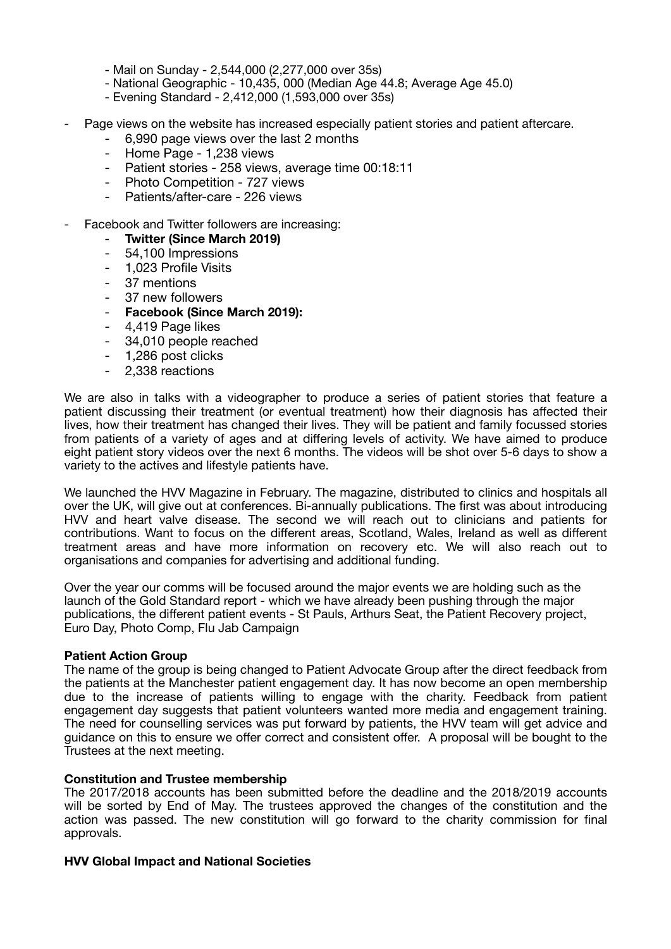- Mail on Sunday 2,544,000 (2,277,000 over 35s)
- National Geographic 10,435, 000 (Median Age 44.8; Average Age 45.0)
- Evening Standard 2,412,000 (1,593,000 over 35s)
- Page views on the website has increased especially patient stories and patient aftercare.
	- 6,990 page views over the last 2 months
	- Home Page 1,238 views
	- Patient stories 258 views, average time 00:18:11
	- Photo Competition 727 views
	- Patients/after-care 226 views
- Facebook and Twitter followers are increasing:
	- **Twitter (Since March 2019)**
	- 54,100 Impressions
	- 1,023 Profile Visits
	- 37 mentions
	- 37 new followers
	- **Facebook (Since March 2019):**
	- 4,419 Page likes
	- 34,010 people reached
	- 1,286 post clicks
	- 2,338 reactions

We are also in talks with a videographer to produce a series of patient stories that feature a patient discussing their treatment (or eventual treatment) how their diagnosis has affected their lives, how their treatment has changed their lives. They will be patient and family focussed stories from patients of a variety of ages and at differing levels of activity. We have aimed to produce eight patient story videos over the next 6 months. The videos will be shot over 5-6 days to show a variety to the actives and lifestyle patients have.

We launched the HVV Magazine in February. The magazine, distributed to clinics and hospitals all over the UK, will give out at conferences. Bi-annually publications. The first was about introducing HVV and heart valve disease. The second we will reach out to clinicians and patients for contributions. Want to focus on the different areas, Scotland, Wales, Ireland as well as different treatment areas and have more information on recovery etc. We will also reach out to organisations and companies for advertising and additional funding.

Over the year our comms will be focused around the major events we are holding such as the launch of the Gold Standard report - which we have already been pushing through the major publications, the different patient events - St Pauls, Arthurs Seat, the Patient Recovery project, Euro Day, Photo Comp, Flu Jab Campaign

#### **Patient Action Group**

The name of the group is being changed to Patient Advocate Group after the direct feedback from the patients at the Manchester patient engagement day. It has now become an open membership due to the increase of patients willing to engage with the charity. Feedback from patient engagement day suggests that patient volunteers wanted more media and engagement training. The need for counselling services was put forward by patients, the HVV team will get advice and guidance on this to ensure we offer correct and consistent offer. A proposal will be bought to the Trustees at the next meeting.

## **Constitution and Trustee membership**

The 2017/2018 accounts has been submitted before the deadline and the 2018/2019 accounts will be sorted by End of May. The trustees approved the changes of the constitution and the action was passed. The new constitution will go forward to the charity commission for final approvals.

#### **HVV Global Impact and National Societies**